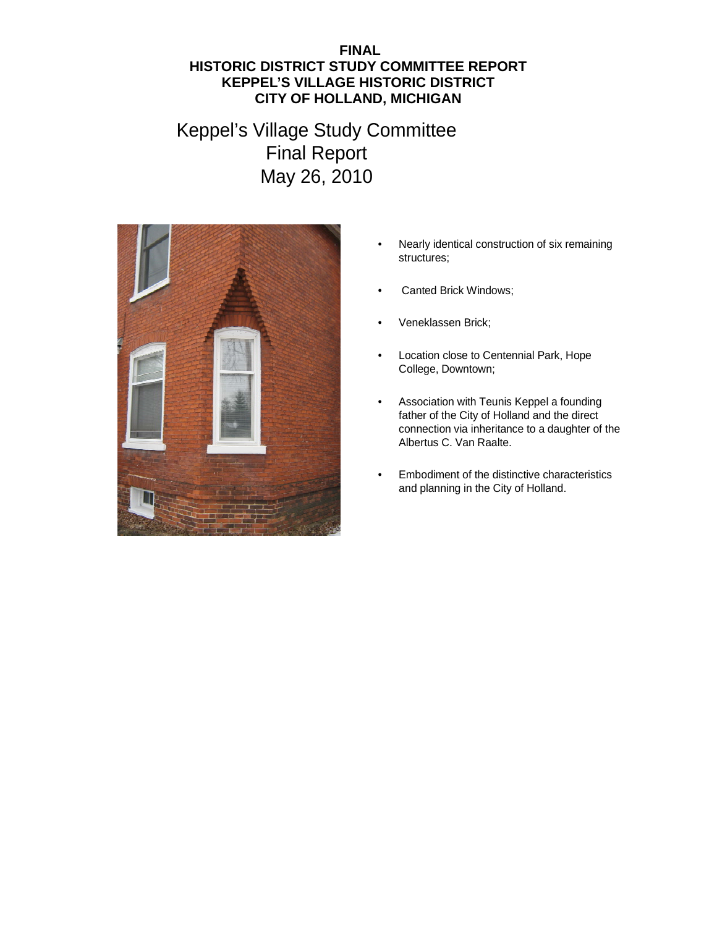Keppel's Village Study Committee Final Report May 26, 2010



- Nearly identical construction of six remaining structures;
- Canted Brick Windows;
- Veneklassen Brick;
- Location close to Centennial Park, Hope College, Downtown;
- Association with Teunis Keppel a founding father of the City of Holland and the direct connection via inheritance to a daughter of the Albertus C. Van Raalte.
- Embodiment of the distinctive characteristics and planning in the City of Holland.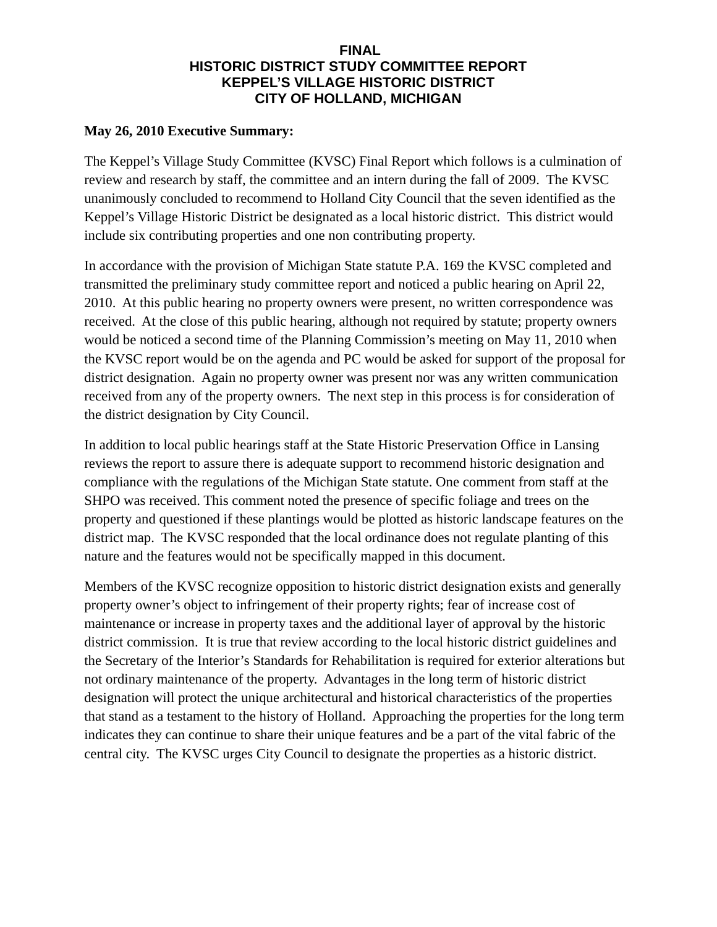## **May 26, 2010 Executive Summary:**

The Keppel's Village Study Committee (KVSC) Final Report which follows is a culmination of review and research by staff, the committee and an intern during the fall of 2009. The KVSC unanimously concluded to recommend to Holland City Council that the seven identified as the Keppel's Village Historic District be designated as a local historic district. This district would include six contributing properties and one non contributing property.

In accordance with the provision of Michigan State statute P.A. 169 the KVSC completed and transmitted the preliminary study committee report and noticed a public hearing on April 22, 2010. At this public hearing no property owners were present, no written correspondence was received. At the close of this public hearing, although not required by statute; property owners would be noticed a second time of the Planning Commission's meeting on May 11, 2010 when the KVSC report would be on the agenda and PC would be asked for support of the proposal for district designation. Again no property owner was present nor was any written communication received from any of the property owners. The next step in this process is for consideration of the district designation by City Council.

In addition to local public hearings staff at the State Historic Preservation Office in Lansing reviews the report to assure there is adequate support to recommend historic designation and compliance with the regulations of the Michigan State statute. One comment from staff at the SHPO was received. This comment noted the presence of specific foliage and trees on the property and questioned if these plantings would be plotted as historic landscape features on the district map. The KVSC responded that the local ordinance does not regulate planting of this nature and the features would not be specifically mapped in this document.

Members of the KVSC recognize opposition to historic district designation exists and generally property owner's object to infringement of their property rights; fear of increase cost of maintenance or increase in property taxes and the additional layer of approval by the historic district commission. It is true that review according to the local historic district guidelines and the Secretary of the Interior's Standards for Rehabilitation is required for exterior alterations but not ordinary maintenance of the property. Advantages in the long term of historic district designation will protect the unique architectural and historical characteristics of the properties that stand as a testament to the history of Holland. Approaching the properties for the long term indicates they can continue to share their unique features and be a part of the vital fabric of the central city. The KVSC urges City Council to designate the properties as a historic district.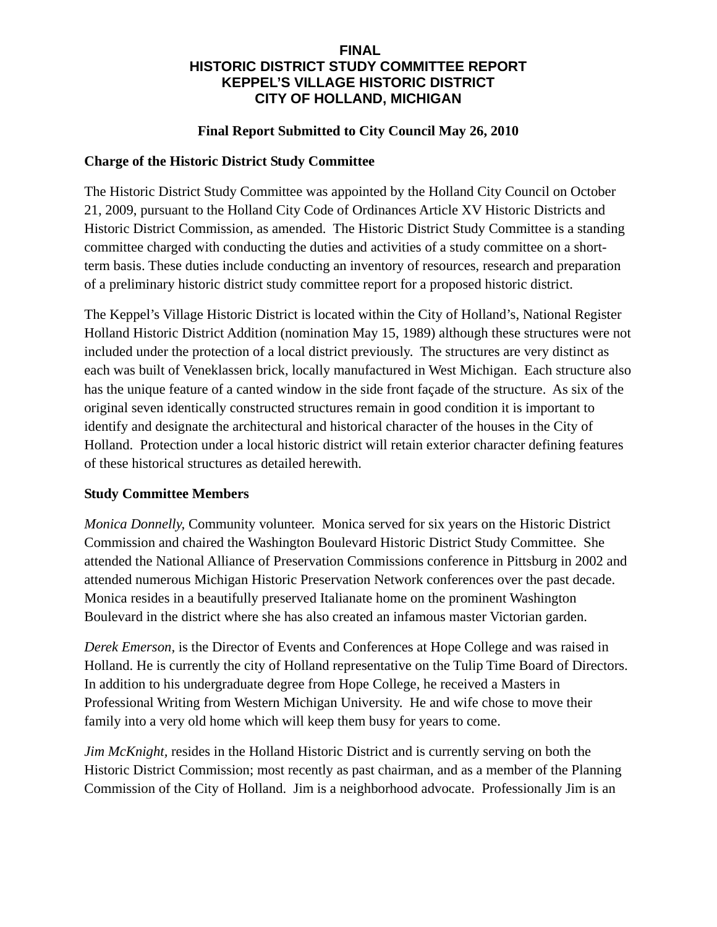## **Final Report Submitted to City Council May 26, 2010**

#### **Charge of the Historic District Study Committee**

The Historic District Study Committee was appointed by the Holland City Council on October 21, 2009, pursuant to the Holland City Code of Ordinances Article XV Historic Districts and Historic District Commission, as amended. The Historic District Study Committee is a standing committee charged with conducting the duties and activities of a study committee on a shortterm basis. These duties include conducting an inventory of resources, research and preparation of a preliminary historic district study committee report for a proposed historic district.

The Keppel's Village Historic District is located within the City of Holland's, National Register Holland Historic District Addition (nomination May 15, 1989) although these structures were not included under the protection of a local district previously. The structures are very distinct as each was built of Veneklassen brick, locally manufactured in West Michigan. Each structure also has the unique feature of a canted window in the side front façade of the structure. As six of the original seven identically constructed structures remain in good condition it is important to identify and designate the architectural and historical character of the houses in the City of Holland. Protection under a local historic district will retain exterior character defining features of these historical structures as detailed herewith.

#### **Study Committee Members**

*Monica Donnelly,* Community volunteer. Monica served for six years on the Historic District Commission and chaired the Washington Boulevard Historic District Study Committee. She attended the National Alliance of Preservation Commissions conference in Pittsburg in 2002 and attended numerous Michigan Historic Preservation Network conferences over the past decade. Monica resides in a beautifully preserved Italianate home on the prominent Washington Boulevard in the district where she has also created an infamous master Victorian garden.

*Derek Emerson,* is the Director of Events and Conferences at Hope College and was raised in Holland. He is currently the city of Holland representative on the Tulip Time Board of Directors. In addition to his undergraduate degree from Hope College, he received a Masters in Professional Writing from Western Michigan University. He and wife chose to move their family into a very old home which will keep them busy for years to come.

*Jim McKnight,* resides in the Holland Historic District and is currently serving on both the Historic District Commission; most recently as past chairman, and as a member of the Planning Commission of the City of Holland. Jim is a neighborhood advocate. Professionally Jim is an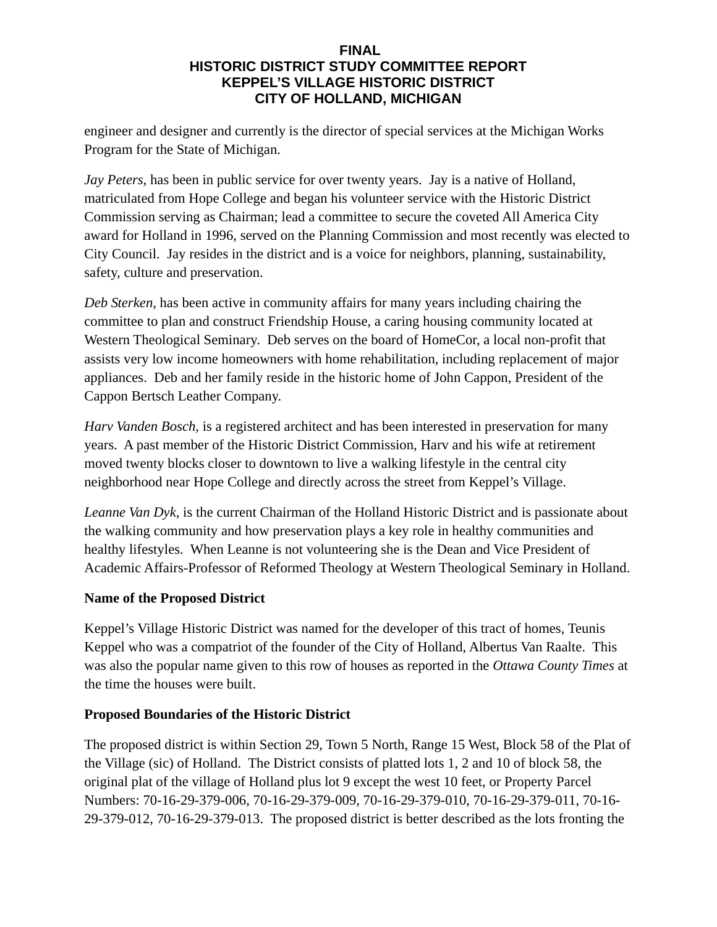engineer and designer and currently is the director of special services at the Michigan Works Program for the State of Michigan.

*Jay Peters,* has been in public service for over twenty years. Jay is a native of Holland, matriculated from Hope College and began his volunteer service with the Historic District Commission serving as Chairman; lead a committee to secure the coveted All America City award for Holland in 1996, served on the Planning Commission and most recently was elected to City Council. Jay resides in the district and is a voice for neighbors, planning, sustainability, safety, culture and preservation.

*Deb Sterken,* has been active in community affairs for many years including chairing the committee to plan and construct Friendship House, a caring housing community located at Western Theological Seminary. Deb serves on the board of HomeCor, a local non-profit that assists very low income homeowners with home rehabilitation, including replacement of major appliances. Deb and her family reside in the historic home of John Cappon, President of the Cappon Bertsch Leather Company.

*Harv Vanden Bosch,* is a registered architect and has been interested in preservation for many years. A past member of the Historic District Commission, Harv and his wife at retirement moved twenty blocks closer to downtown to live a walking lifestyle in the central city neighborhood near Hope College and directly across the street from Keppel's Village.

*Leanne Van Dyk,* is the current Chairman of the Holland Historic District and is passionate about the walking community and how preservation plays a key role in healthy communities and healthy lifestyles. When Leanne is not volunteering she is the Dean and Vice President of Academic Affairs-Professor of Reformed Theology at Western Theological Seminary in Holland.

## **Name of the Proposed District**

Keppel's Village Historic District was named for the developer of this tract of homes, Teunis Keppel who was a compatriot of the founder of the City of Holland, Albertus Van Raalte. This was also the popular name given to this row of houses as reported in the *Ottawa County Times* at the time the houses were built.

## **Proposed Boundaries of the Historic District**

The proposed district is within Section 29, Town 5 North, Range 15 West, Block 58 of the Plat of the Village (sic) of Holland. The District consists of platted lots 1, 2 and 10 of block 58, the original plat of the village of Holland plus lot 9 except the west 10 feet, or Property Parcel Numbers: 70-16-29-379-006, 70-16-29-379-009, 70-16-29-379-010, 70-16-29-379-011, 70-16- 29-379-012, 70-16-29-379-013. The proposed district is better described as the lots fronting the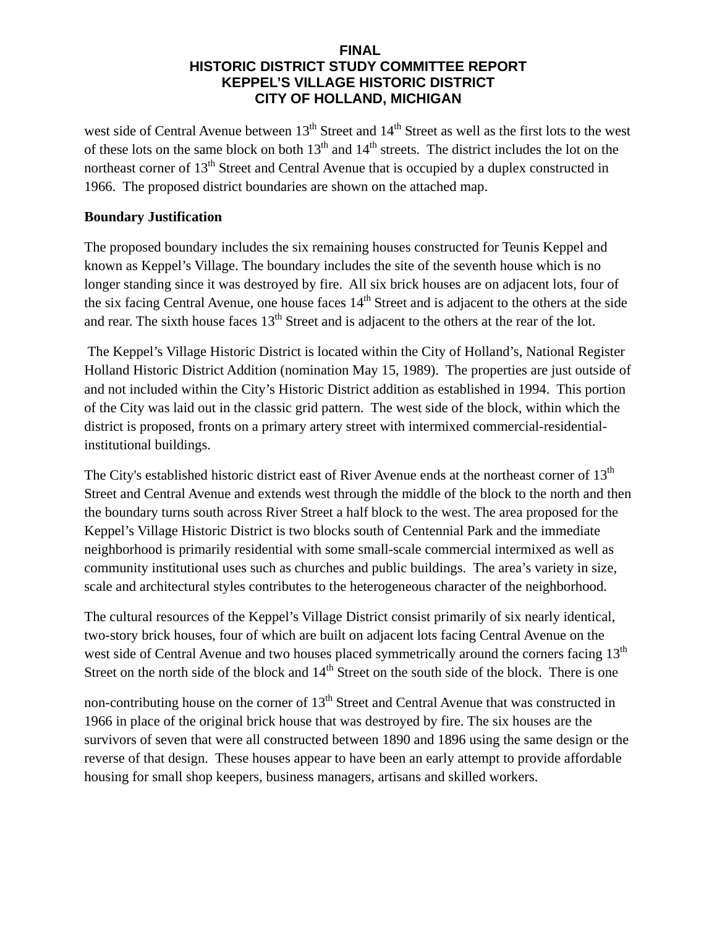west side of Central Avenue between 13<sup>th</sup> Street and 14<sup>th</sup> Street as well as the first lots to the west of these lots on the same block on both  $13<sup>th</sup>$  and  $14<sup>th</sup>$  streets. The district includes the lot on the northeast corner of 13<sup>th</sup> Street and Central Avenue that is occupied by a duplex constructed in 1966. The proposed district boundaries are shown on the attached map.

## **Boundary Justification**

The proposed boundary includes the six remaining houses constructed for Teunis Keppel and known as Keppel's Village. The boundary includes the site of the seventh house which is no longer standing since it was destroyed by fire. All six brick houses are on adjacent lots, four of the six facing Central Avenue, one house faces  $14<sup>th</sup>$  Street and is adjacent to the others at the side and rear. The sixth house faces  $13<sup>th</sup>$  Street and is adjacent to the others at the rear of the lot.

 The Keppel's Village Historic District is located within the City of Holland's, National Register Holland Historic District Addition (nomination May 15, 1989). The properties are just outside of and not included within the City's Historic District addition as established in 1994. This portion of the City was laid out in the classic grid pattern. The west side of the block, within which the district is proposed, fronts on a primary artery street with intermixed commercial-residentialinstitutional buildings.

The City's established historic district east of River Avenue ends at the northeast corner of  $13<sup>th</sup>$ Street and Central Avenue and extends west through the middle of the block to the north and then the boundary turns south across River Street a half block to the west. The area proposed for the Keppel's Village Historic District is two blocks south of Centennial Park and the immediate neighborhood is primarily residential with some small-scale commercial intermixed as well as community institutional uses such as churches and public buildings. The area's variety in size, scale and architectural styles contributes to the heterogeneous character of the neighborhood.

The cultural resources of the Keppel's Village District consist primarily of six nearly identical, two-story brick houses, four of which are built on adjacent lots facing Central Avenue on the west side of Central Avenue and two houses placed symmetrically around the corners facing 13<sup>th</sup> Street on the north side of the block and  $14<sup>th</sup>$  Street on the south side of the block. There is one

non-contributing house on the corner of  $13<sup>th</sup>$  Street and Central Avenue that was constructed in 1966 in place of the original brick house that was destroyed by fire. The six houses are the survivors of seven that were all constructed between 1890 and 1896 using the same design or the reverse of that design. These houses appear to have been an early attempt to provide affordable housing for small shop keepers, business managers, artisans and skilled workers.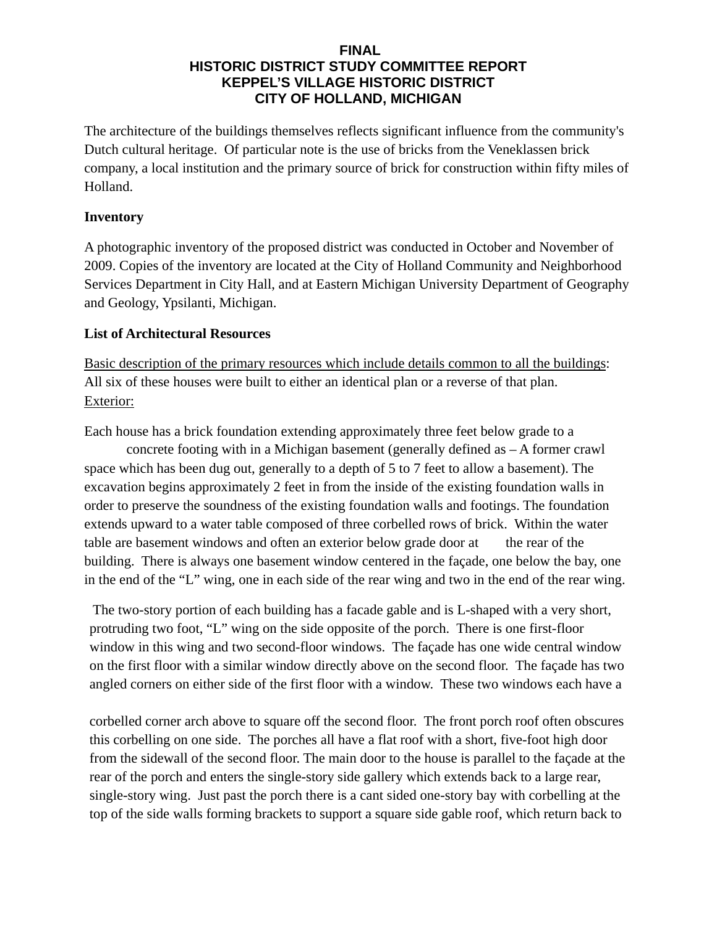The architecture of the buildings themselves reflects significant influence from the community's Dutch cultural heritage. Of particular note is the use of bricks from the Veneklassen brick company, a local institution and the primary source of brick for construction within fifty miles of Holland.

## **Inventory**

A photographic inventory of the proposed district was conducted in October and November of 2009. Copies of the inventory are located at the City of Holland Community and Neighborhood Services Department in City Hall, and at Eastern Michigan University Department of Geography and Geology, Ypsilanti, Michigan.

## **List of Architectural Resources**

Basic description of the primary resources which include details common to all the buildings: All six of these houses were built to either an identical plan or a reverse of that plan. Exterior:

Each house has a brick foundation extending approximately three feet below grade to a concrete footing with in a Michigan basement (generally defined as – A former crawl space which has been dug out, generally to a depth of 5 to 7 feet to allow a basement). The excavation begins approximately 2 feet in from the inside of the existing foundation walls in order to preserve the soundness of the existing foundation walls and footings. The foundation extends upward to a water table composed of three corbelled rows of brick. Within the water table are basement windows and often an exterior below grade door at the rear of the building. There is always one basement window centered in the façade, one below the bay, one in the end of the "L" wing, one in each side of the rear wing and two in the end of the rear wing.

 The two-story portion of each building has a facade gable and is L-shaped with a very short, protruding two foot, "L" wing on the side opposite of the porch. There is one first-floor window in this wing and two second-floor windows. The façade has one wide central window on the first floor with a similar window directly above on the second floor. The façade has two angled corners on either side of the first floor with a window. These two windows each have a

corbelled corner arch above to square off the second floor. The front porch roof often obscures this corbelling on one side. The porches all have a flat roof with a short, five-foot high door from the sidewall of the second floor. The main door to the house is parallel to the façade at the rear of the porch and enters the single-story side gallery which extends back to a large rear, single-story wing. Just past the porch there is a cant sided one-story bay with corbelling at the top of the side walls forming brackets to support a square side gable roof, which return back to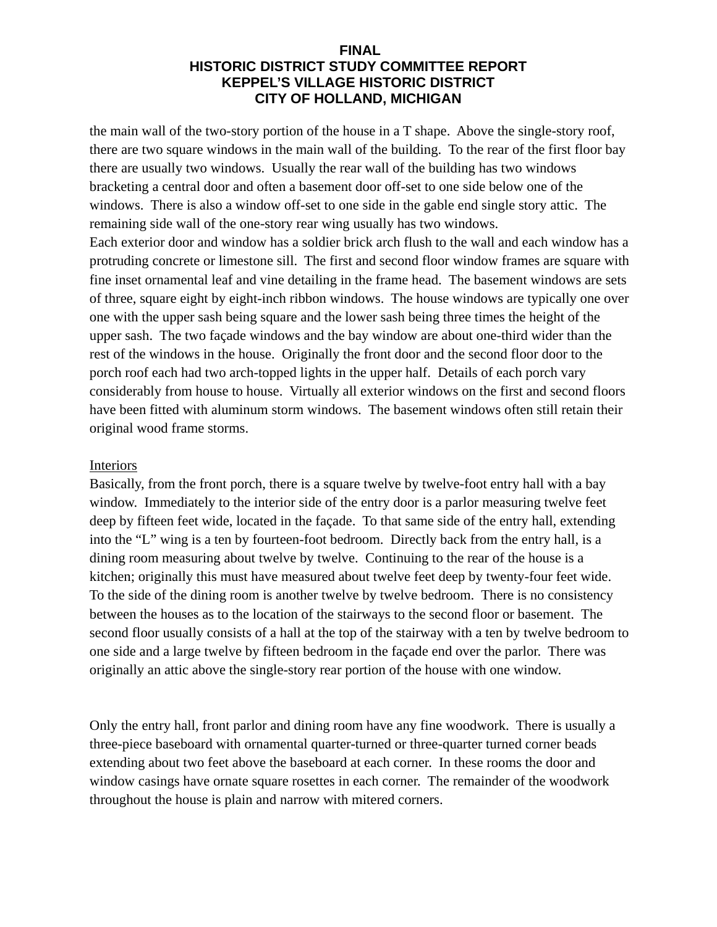the main wall of the two-story portion of the house in a T shape. Above the single-story roof, there are two square windows in the main wall of the building. To the rear of the first floor bay there are usually two windows. Usually the rear wall of the building has two windows bracketing a central door and often a basement door off-set to one side below one of the windows. There is also a window off-set to one side in the gable end single story attic. The remaining side wall of the one-story rear wing usually has two windows.

Each exterior door and window has a soldier brick arch flush to the wall and each window has a protruding concrete or limestone sill. The first and second floor window frames are square with fine inset ornamental leaf and vine detailing in the frame head. The basement windows are sets of three, square eight by eight-inch ribbon windows. The house windows are typically one over one with the upper sash being square and the lower sash being three times the height of the upper sash. The two façade windows and the bay window are about one-third wider than the rest of the windows in the house. Originally the front door and the second floor door to the porch roof each had two arch-topped lights in the upper half. Details of each porch vary considerably from house to house. Virtually all exterior windows on the first and second floors have been fitted with aluminum storm windows. The basement windows often still retain their original wood frame storms.

#### Interiors

Basically, from the front porch, there is a square twelve by twelve-foot entry hall with a bay window. Immediately to the interior side of the entry door is a parlor measuring twelve feet deep by fifteen feet wide, located in the façade. To that same side of the entry hall, extending into the "L" wing is a ten by fourteen-foot bedroom. Directly back from the entry hall, is a dining room measuring about twelve by twelve. Continuing to the rear of the house is a kitchen; originally this must have measured about twelve feet deep by twenty-four feet wide. To the side of the dining room is another twelve by twelve bedroom. There is no consistency between the houses as to the location of the stairways to the second floor or basement. The second floor usually consists of a hall at the top of the stairway with a ten by twelve bedroom to one side and a large twelve by fifteen bedroom in the façade end over the parlor. There was originally an attic above the single-story rear portion of the house with one window.

Only the entry hall, front parlor and dining room have any fine woodwork. There is usually a three-piece baseboard with ornamental quarter-turned or three-quarter turned corner beads extending about two feet above the baseboard at each corner. In these rooms the door and window casings have ornate square rosettes in each corner. The remainder of the woodwork throughout the house is plain and narrow with mitered corners.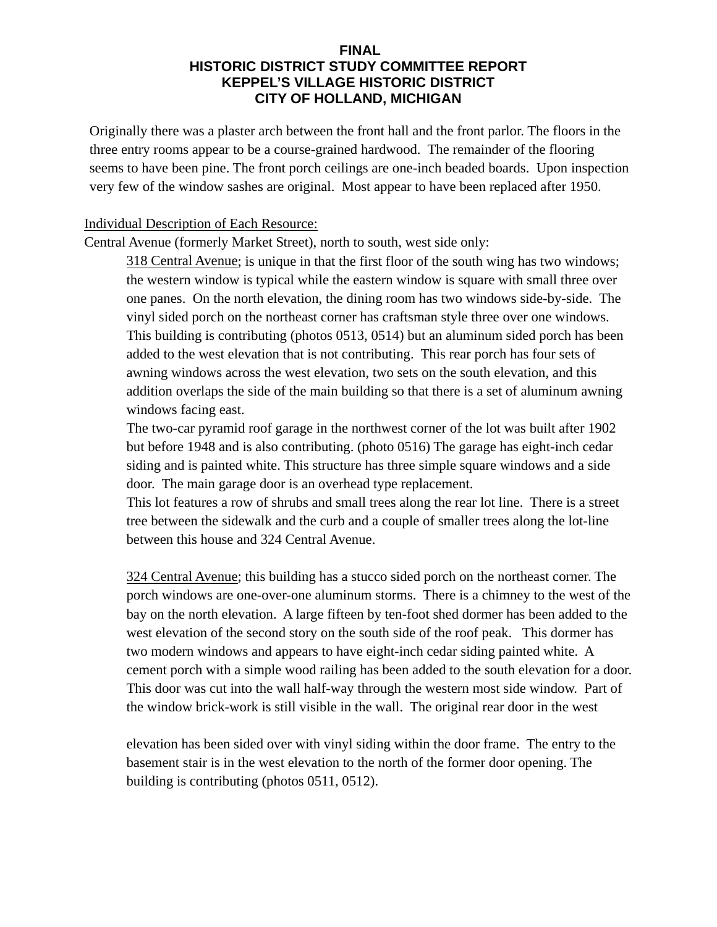Originally there was a plaster arch between the front hall and the front parlor. The floors in the three entry rooms appear to be a course-grained hardwood. The remainder of the flooring seems to have been pine. The front porch ceilings are one-inch beaded boards. Upon inspection very few of the window sashes are original. Most appear to have been replaced after 1950.

#### Individual Description of Each Resource:

Central Avenue (formerly Market Street), north to south, west side only:

318 Central Avenue; is unique in that the first floor of the south wing has two windows; the western window is typical while the eastern window is square with small three over one panes. On the north elevation, the dining room has two windows side-by-side. The vinyl sided porch on the northeast corner has craftsman style three over one windows. This building is contributing (photos 0513, 0514) but an aluminum sided porch has been added to the west elevation that is not contributing. This rear porch has four sets of awning windows across the west elevation, two sets on the south elevation, and this addition overlaps the side of the main building so that there is a set of aluminum awning windows facing east.

The two-car pyramid roof garage in the northwest corner of the lot was built after 1902 but before 1948 and is also contributing. (photo 0516) The garage has eight-inch cedar siding and is painted white. This structure has three simple square windows and a side door. The main garage door is an overhead type replacement.

This lot features a row of shrubs and small trees along the rear lot line. There is a street tree between the sidewalk and the curb and a couple of smaller trees along the lot-line between this house and 324 Central Avenue.

324 Central Avenue; this building has a stucco sided porch on the northeast corner. The porch windows are one-over-one aluminum storms. There is a chimney to the west of the bay on the north elevation. A large fifteen by ten-foot shed dormer has been added to the west elevation of the second story on the south side of the roof peak. This dormer has two modern windows and appears to have eight-inch cedar siding painted white. A cement porch with a simple wood railing has been added to the south elevation for a door. This door was cut into the wall half-way through the western most side window. Part of the window brick-work is still visible in the wall. The original rear door in the west

elevation has been sided over with vinyl siding within the door frame. The entry to the basement stair is in the west elevation to the north of the former door opening. The building is contributing (photos 0511, 0512).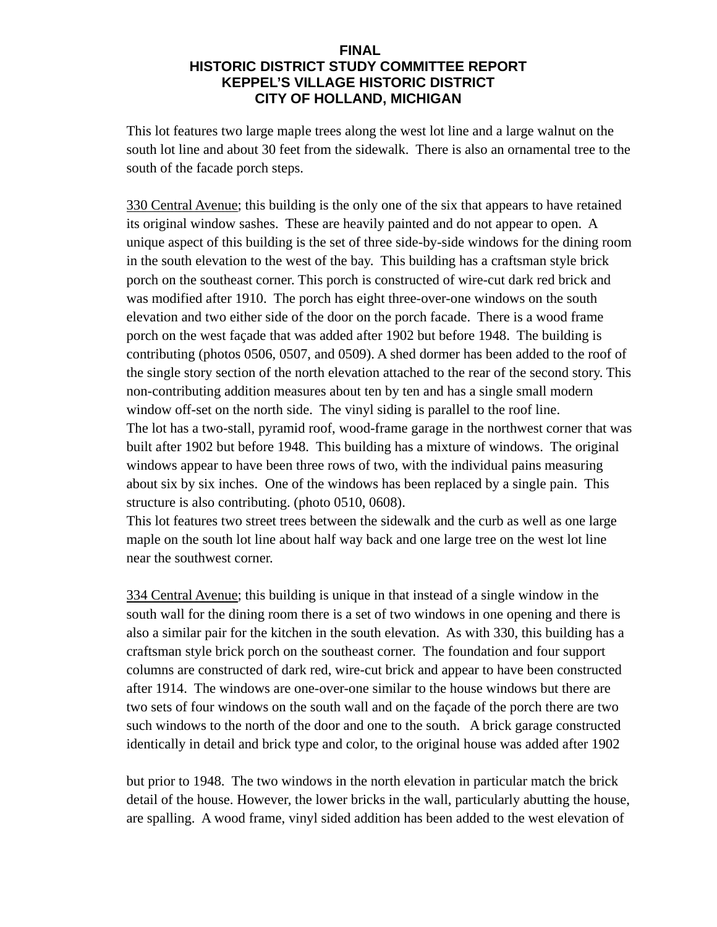This lot features two large maple trees along the west lot line and a large walnut on the south lot line and about 30 feet from the sidewalk. There is also an ornamental tree to the south of the facade porch steps.

330 Central Avenue; this building is the only one of the six that appears to have retained its original window sashes. These are heavily painted and do not appear to open. A unique aspect of this building is the set of three side-by-side windows for the dining room in the south elevation to the west of the bay. This building has a craftsman style brick porch on the southeast corner. This porch is constructed of wire-cut dark red brick and was modified after 1910. The porch has eight three-over-one windows on the south elevation and two either side of the door on the porch facade. There is a wood frame porch on the west façade that was added after 1902 but before 1948. The building is contributing (photos 0506, 0507, and 0509). A shed dormer has been added to the roof of the single story section of the north elevation attached to the rear of the second story. This non-contributing addition measures about ten by ten and has a single small modern window off-set on the north side. The vinyl siding is parallel to the roof line. The lot has a two-stall, pyramid roof, wood-frame garage in the northwest corner that was built after 1902 but before 1948. This building has a mixture of windows. The original windows appear to have been three rows of two, with the individual pains measuring about six by six inches. One of the windows has been replaced by a single pain. This structure is also contributing. (photo 0510, 0608).

This lot features two street trees between the sidewalk and the curb as well as one large maple on the south lot line about half way back and one large tree on the west lot line near the southwest corner.

334 Central Avenue; this building is unique in that instead of a single window in the south wall for the dining room there is a set of two windows in one opening and there is also a similar pair for the kitchen in the south elevation. As with 330, this building has a craftsman style brick porch on the southeast corner. The foundation and four support columns are constructed of dark red, wire-cut brick and appear to have been constructed after 1914. The windows are one-over-one similar to the house windows but there are two sets of four windows on the south wall and on the façade of the porch there are two such windows to the north of the door and one to the south. A brick garage constructed identically in detail and brick type and color, to the original house was added after 1902

but prior to 1948. The two windows in the north elevation in particular match the brick detail of the house. However, the lower bricks in the wall, particularly abutting the house, are spalling. A wood frame, vinyl sided addition has been added to the west elevation of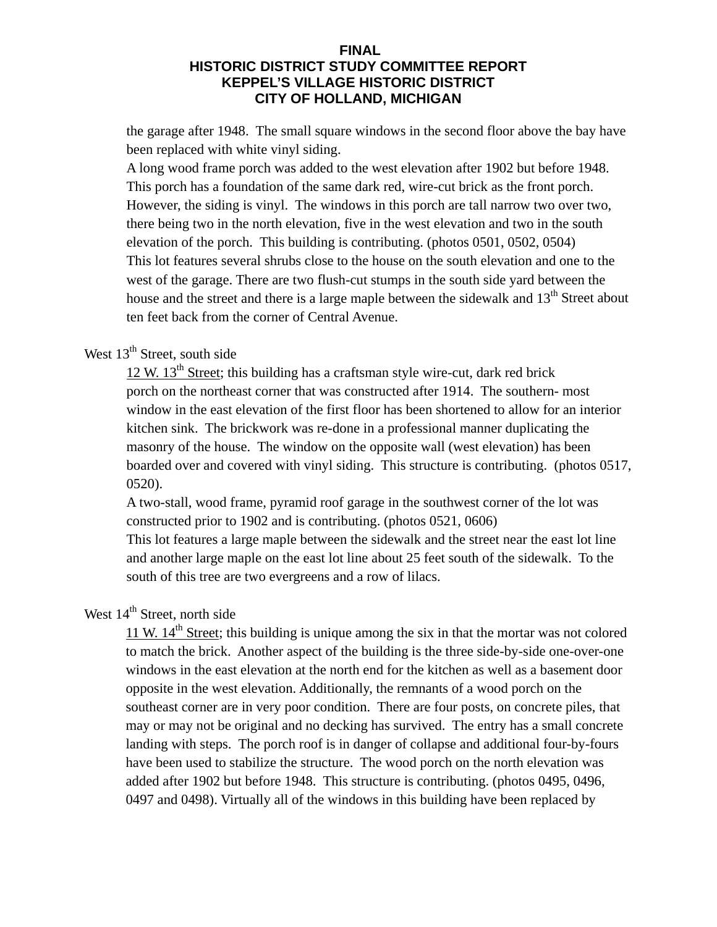the garage after 1948. The small square windows in the second floor above the bay have been replaced with white vinyl siding.

A long wood frame porch was added to the west elevation after 1902 but before 1948. This porch has a foundation of the same dark red, wire-cut brick as the front porch. However, the siding is vinyl. The windows in this porch are tall narrow two over two, there being two in the north elevation, five in the west elevation and two in the south elevation of the porch. This building is contributing. (photos 0501, 0502, 0504) This lot features several shrubs close to the house on the south elevation and one to the west of the garage. There are two flush-cut stumps in the south side yard between the house and the street and there is a large maple between the sidewalk and 13<sup>th</sup> Street about ten feet back from the corner of Central Avenue.

# West  $13<sup>th</sup>$  Street, south side

12 W.  $13<sup>th</sup>$  Street; this building has a craftsman style wire-cut, dark red brick porch on the northeast corner that was constructed after 1914. The southern- most window in the east elevation of the first floor has been shortened to allow for an interior kitchen sink. The brickwork was re-done in a professional manner duplicating the masonry of the house. The window on the opposite wall (west elevation) has been boarded over and covered with vinyl siding. This structure is contributing. (photos 0517, 0520).

A two-stall, wood frame, pyramid roof garage in the southwest corner of the lot was constructed prior to 1902 and is contributing. (photos 0521, 0606)

This lot features a large maple between the sidewalk and the street near the east lot line and another large maple on the east lot line about 25 feet south of the sidewalk. To the south of this tree are two evergreens and a row of lilacs.

# West  $14<sup>th</sup>$  Street, north side

11 W.  $14<sup>th</sup>$  Street; this building is unique among the six in that the mortar was not colored to match the brick. Another aspect of the building is the three side-by-side one-over-one windows in the east elevation at the north end for the kitchen as well as a basement door opposite in the west elevation. Additionally, the remnants of a wood porch on the southeast corner are in very poor condition. There are four posts, on concrete piles, that may or may not be original and no decking has survived. The entry has a small concrete landing with steps. The porch roof is in danger of collapse and additional four-by-fours have been used to stabilize the structure. The wood porch on the north elevation was added after 1902 but before 1948. This structure is contributing. (photos 0495, 0496, 0497 and 0498). Virtually all of the windows in this building have been replaced by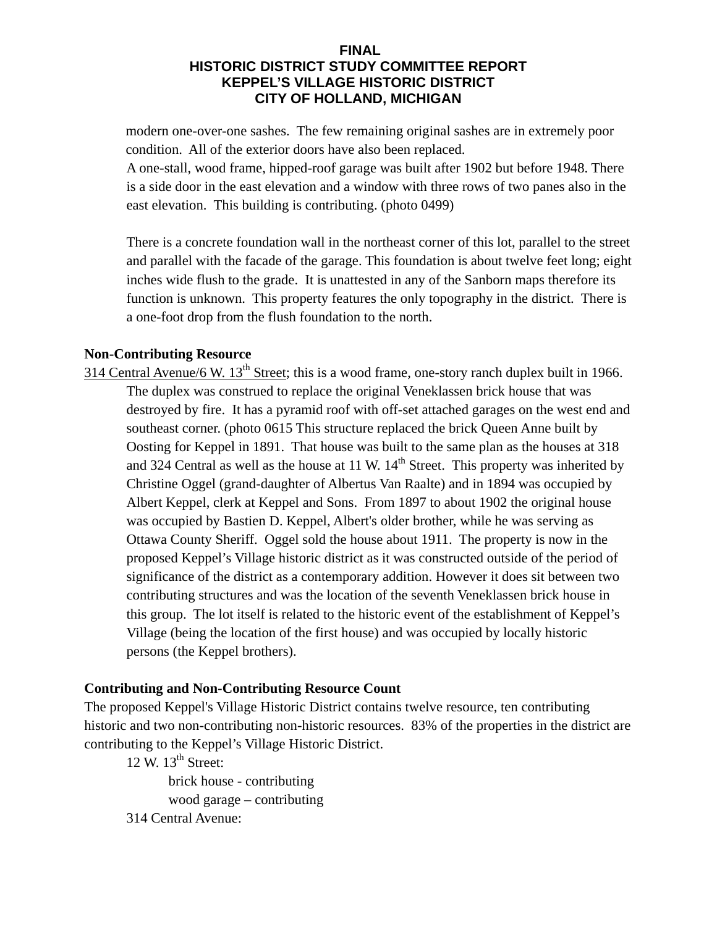modern one-over-one sashes. The few remaining original sashes are in extremely poor condition. All of the exterior doors have also been replaced.

A one-stall, wood frame, hipped-roof garage was built after 1902 but before 1948. There is a side door in the east elevation and a window with three rows of two panes also in the east elevation. This building is contributing. (photo 0499)

There is a concrete foundation wall in the northeast corner of this lot, parallel to the street and parallel with the facade of the garage. This foundation is about twelve feet long; eight inches wide flush to the grade. It is unattested in any of the Sanborn maps therefore its function is unknown. This property features the only topography in the district. There is a one-foot drop from the flush foundation to the north.

## **Non-Contributing Resource**

314 Central Avenue/6 W.  $13<sup>th</sup>$  Street; this is a wood frame, one-story ranch duplex built in 1966. The duplex was construed to replace the original Veneklassen brick house that was destroyed by fire. It has a pyramid roof with off-set attached garages on the west end and southeast corner. (photo 0615 This structure replaced the brick Queen Anne built by Oosting for Keppel in 1891. That house was built to the same plan as the houses at 318 and 324 Central as well as the house at 11 W.  $14<sup>th</sup>$  Street. This property was inherited by Christine Oggel (grand-daughter of Albertus Van Raalte) and in 1894 was occupied by Albert Keppel, clerk at Keppel and Sons. From 1897 to about 1902 the original house was occupied by Bastien D. Keppel, Albert's older brother, while he was serving as Ottawa County Sheriff. Oggel sold the house about 1911. The property is now in the proposed Keppel's Village historic district as it was constructed outside of the period of significance of the district as a contemporary addition. However it does sit between two contributing structures and was the location of the seventh Veneklassen brick house in this group. The lot itself is related to the historic event of the establishment of Keppel's Village (being the location of the first house) and was occupied by locally historic persons (the Keppel brothers).

#### **Contributing and Non-Contributing Resource Count**

The proposed Keppel's Village Historic District contains twelve resource, ten contributing historic and two non-contributing non-historic resources. 83% of the properties in the district are contributing to the Keppel's Village Historic District.

 $12$  W.  $13<sup>th</sup>$  Street:

 brick house - contributing wood garage – contributing 314 Central Avenue: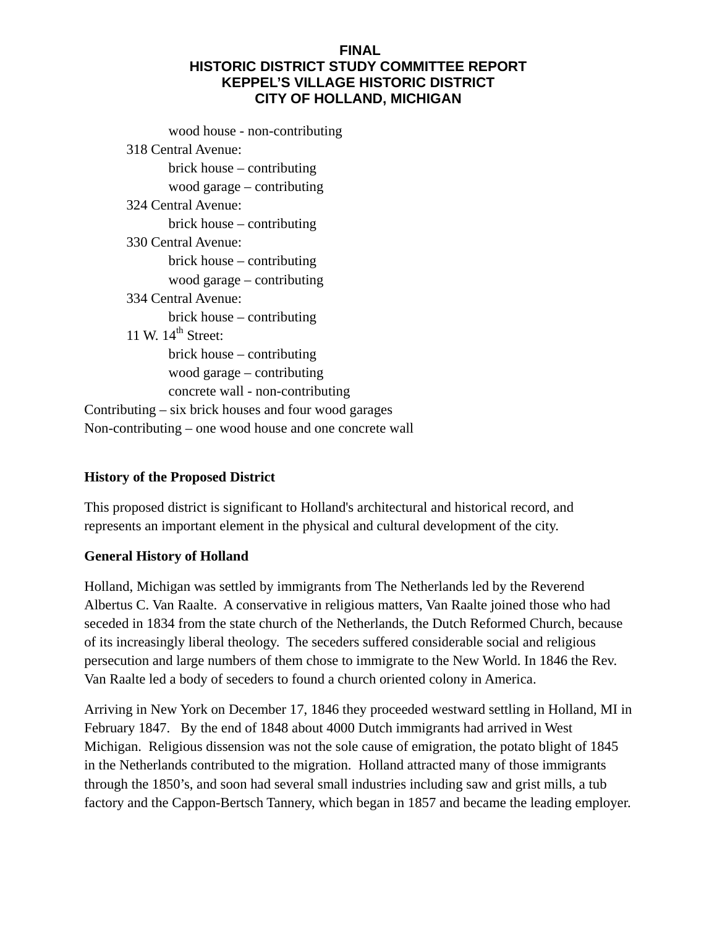wood house - non-contributing

 318 Central Avenue: brick house – contributing wood garage – contributing 324 Central Avenue: brick house – contributing 330 Central Avenue: brick house – contributing wood garage – contributing 334 Central Avenue: brick house – contributing 11 W.  $14<sup>th</sup>$  Street: brick house – contributing wood garage – contributing concrete wall - non-contributing Contributing – six brick houses and four wood garages Non-contributing – one wood house and one concrete wall

## **History of the Proposed District**

This proposed district is significant to Holland's architectural and historical record, and represents an important element in the physical and cultural development of the city.

## **General History of Holland**

Holland, Michigan was settled by immigrants from The Netherlands led by the Reverend Albertus C. Van Raalte. A conservative in religious matters, Van Raalte joined those who had seceded in 1834 from the state church of the Netherlands, the Dutch Reformed Church, because of its increasingly liberal theology. The seceders suffered considerable social and religious persecution and large numbers of them chose to immigrate to the New World. In 1846 the Rev. Van Raalte led a body of seceders to found a church oriented colony in America.

Arriving in New York on December 17, 1846 they proceeded westward settling in Holland, MI in February 1847. By the end of 1848 about 4000 Dutch immigrants had arrived in West Michigan. Religious dissension was not the sole cause of emigration, the potato blight of 1845 in the Netherlands contributed to the migration. Holland attracted many of those immigrants through the 1850's, and soon had several small industries including saw and grist mills, a tub factory and the Cappon-Bertsch Tannery, which began in 1857 and became the leading employer.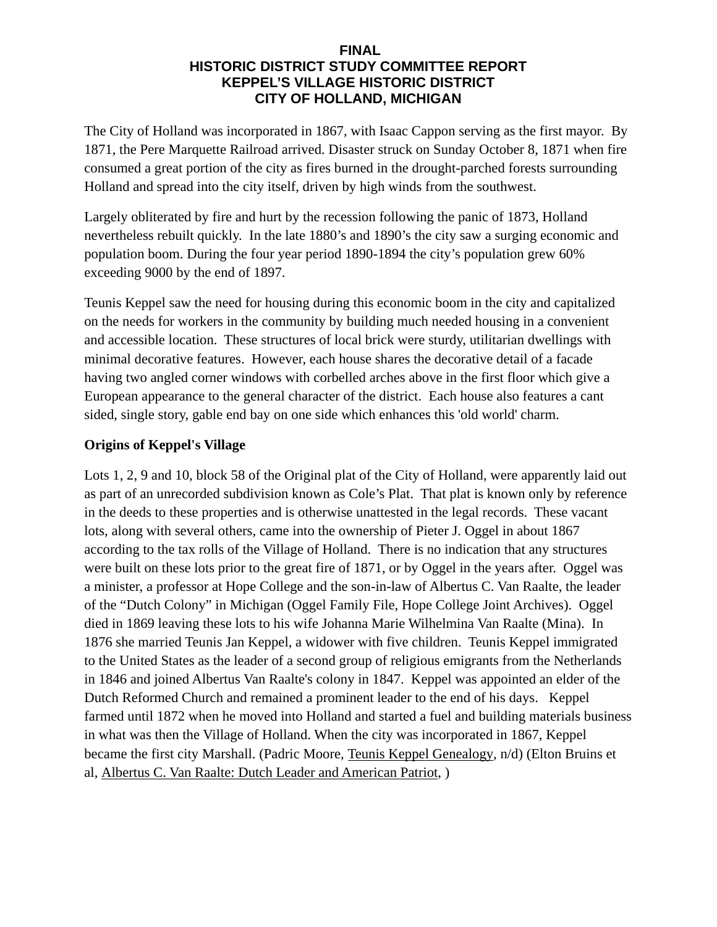The City of Holland was incorporated in 1867, with Isaac Cappon serving as the first mayor. By 1871, the Pere Marquette Railroad arrived. Disaster struck on Sunday October 8, 1871 when fire consumed a great portion of the city as fires burned in the drought-parched forests surrounding Holland and spread into the city itself, driven by high winds from the southwest.

Largely obliterated by fire and hurt by the recession following the panic of 1873, Holland nevertheless rebuilt quickly. In the late 1880's and 1890's the city saw a surging economic and population boom. During the four year period 1890-1894 the city's population grew 60% exceeding 9000 by the end of 1897.

Teunis Keppel saw the need for housing during this economic boom in the city and capitalized on the needs for workers in the community by building much needed housing in a convenient and accessible location. These structures of local brick were sturdy, utilitarian dwellings with minimal decorative features. However, each house shares the decorative detail of a facade having two angled corner windows with corbelled arches above in the first floor which give a European appearance to the general character of the district. Each house also features a cant sided, single story, gable end bay on one side which enhances this 'old world' charm.

## **Origins of Keppel's Village**

Lots 1, 2, 9 and 10, block 58 of the Original plat of the City of Holland, were apparently laid out as part of an unrecorded subdivision known as Cole's Plat. That plat is known only by reference in the deeds to these properties and is otherwise unattested in the legal records. These vacant lots, along with several others, came into the ownership of Pieter J. Oggel in about 1867 according to the tax rolls of the Village of Holland. There is no indication that any structures were built on these lots prior to the great fire of 1871, or by Oggel in the years after. Oggel was a minister, a professor at Hope College and the son-in-law of Albertus C. Van Raalte, the leader of the "Dutch Colony" in Michigan (Oggel Family File, Hope College Joint Archives). Oggel died in 1869 leaving these lots to his wife Johanna Marie Wilhelmina Van Raalte (Mina). In 1876 she married Teunis Jan Keppel, a widower with five children. Teunis Keppel immigrated to the United States as the leader of a second group of religious emigrants from the Netherlands in 1846 and joined Albertus Van Raalte's colony in 1847. Keppel was appointed an elder of the Dutch Reformed Church and remained a prominent leader to the end of his days. Keppel farmed until 1872 when he moved into Holland and started a fuel and building materials business in what was then the Village of Holland. When the city was incorporated in 1867, Keppel became the first city Marshall. (Padric Moore, Teunis Keppel Genealogy, n/d) (Elton Bruins et al, Albertus C. Van Raalte: Dutch Leader and American Patriot, )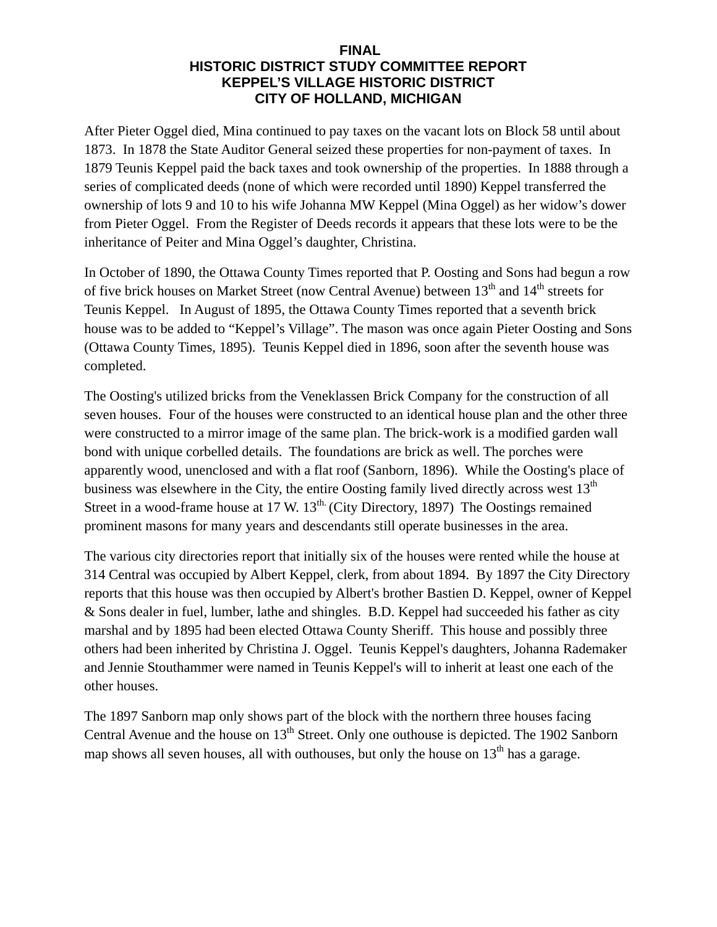After Pieter Oggel died, Mina continued to pay taxes on the vacant lots on Block 58 until about 1873. In 1878 the State Auditor General seized these properties for non-payment of taxes. In 1879 Teunis Keppel paid the back taxes and took ownership of the properties. In 1888 through a series of complicated deeds (none of which were recorded until 1890) Keppel transferred the ownership of lots 9 and 10 to his wife Johanna MW Keppel (Mina Oggel) as her widow's dower from Pieter Oggel. From the Register of Deeds records it appears that these lots were to be the inheritance of Peiter and Mina Oggel's daughter, Christina.

In October of 1890, the Ottawa County Times reported that P. Oosting and Sons had begun a row of five brick houses on Market Street (now Central Avenue) between 13<sup>th</sup> and 14<sup>th</sup> streets for Teunis Keppel. In August of 1895, the Ottawa County Times reported that a seventh brick house was to be added to "Keppel's Village". The mason was once again Pieter Oosting and Sons (Ottawa County Times, 1895). Teunis Keppel died in 1896, soon after the seventh house was completed.

The Oosting's utilized bricks from the Veneklassen Brick Company for the construction of all seven houses. Four of the houses were constructed to an identical house plan and the other three were constructed to a mirror image of the same plan. The brick-work is a modified garden wall bond with unique corbelled details. The foundations are brick as well. The porches were apparently wood, unenclosed and with a flat roof (Sanborn, 1896). While the Oosting's place of business was elsewhere in the City, the entire Oosting family lived directly across west  $13<sup>th</sup>$ Street in a wood-frame house at 17 W.  $13<sup>th</sup>$  (City Directory, 1897) The Oostings remained prominent masons for many years and descendants still operate businesses in the area.

The various city directories report that initially six of the houses were rented while the house at 314 Central was occupied by Albert Keppel, clerk, from about 1894. By 1897 the City Directory reports that this house was then occupied by Albert's brother Bastien D. Keppel, owner of Keppel & Sons dealer in fuel, lumber, lathe and shingles. B.D. Keppel had succeeded his father as city marshal and by 1895 had been elected Ottawa County Sheriff. This house and possibly three others had been inherited by Christina J. Oggel. Teunis Keppel's daughters, Johanna Rademaker and Jennie Stouthammer were named in Teunis Keppel's will to inherit at least one each of the other houses.

The 1897 Sanborn map only shows part of the block with the northern three houses facing Central Avenue and the house on  $13<sup>th</sup>$  Street. Only one outhouse is depicted. The 1902 Sanborn map shows all seven houses, all with outhouses, but only the house on  $13<sup>th</sup>$  has a garage.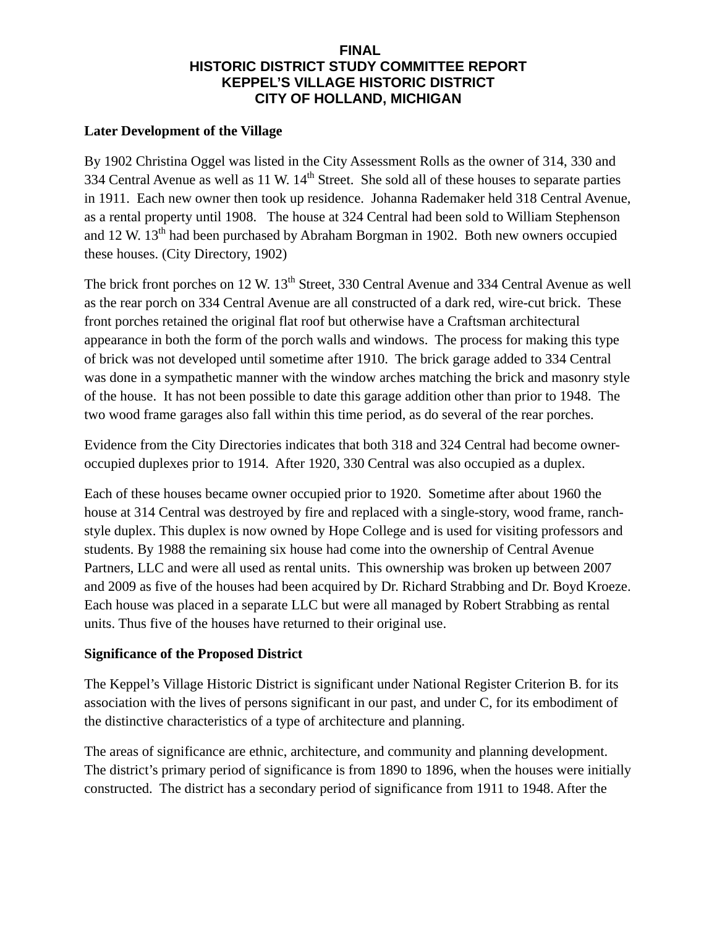## **Later Development of the Village**

By 1902 Christina Oggel was listed in the City Assessment Rolls as the owner of 314, 330 and 334 Central Avenue as well as 11 W.  $14<sup>th</sup>$  Street. She sold all of these houses to separate parties in 1911. Each new owner then took up residence. Johanna Rademaker held 318 Central Avenue, as a rental property until 1908. The house at 324 Central had been sold to William Stephenson and 12 W. 13<sup>th</sup> had been purchased by Abraham Borgman in 1902. Both new owners occupied these houses. (City Directory, 1902)

The brick front porches on 12 W. 13<sup>th</sup> Street, 330 Central Avenue and 334 Central Avenue as well as the rear porch on 334 Central Avenue are all constructed of a dark red, wire-cut brick. These front porches retained the original flat roof but otherwise have a Craftsman architectural appearance in both the form of the porch walls and windows. The process for making this type of brick was not developed until sometime after 1910. The brick garage added to 334 Central was done in a sympathetic manner with the window arches matching the brick and masonry style of the house. It has not been possible to date this garage addition other than prior to 1948. The two wood frame garages also fall within this time period, as do several of the rear porches.

Evidence from the City Directories indicates that both 318 and 324 Central had become owneroccupied duplexes prior to 1914. After 1920, 330 Central was also occupied as a duplex.

Each of these houses became owner occupied prior to 1920. Sometime after about 1960 the house at 314 Central was destroyed by fire and replaced with a single-story, wood frame, ranchstyle duplex. This duplex is now owned by Hope College and is used for visiting professors and students. By 1988 the remaining six house had come into the ownership of Central Avenue Partners, LLC and were all used as rental units. This ownership was broken up between 2007 and 2009 as five of the houses had been acquired by Dr. Richard Strabbing and Dr. Boyd Kroeze. Each house was placed in a separate LLC but were all managed by Robert Strabbing as rental units. Thus five of the houses have returned to their original use.

## **Significance of the Proposed District**

The Keppel's Village Historic District is significant under National Register Criterion B. for its association with the lives of persons significant in our past, and under C, for its embodiment of the distinctive characteristics of a type of architecture and planning.

The areas of significance are ethnic, architecture, and community and planning development. The district's primary period of significance is from 1890 to 1896, when the houses were initially constructed. The district has a secondary period of significance from 1911 to 1948. After the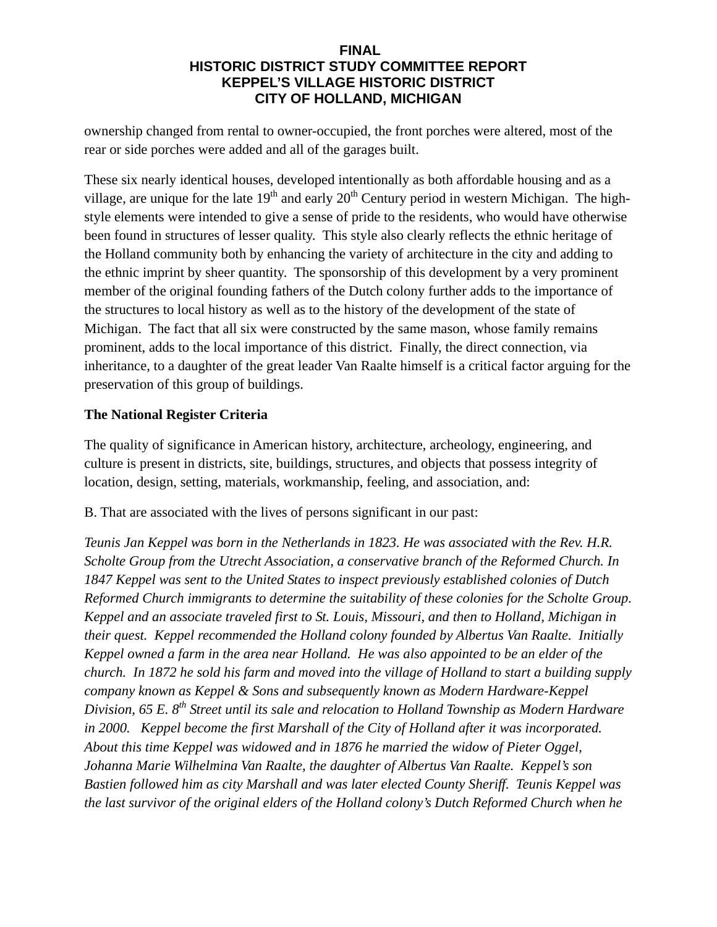ownership changed from rental to owner-occupied, the front porches were altered, most of the rear or side porches were added and all of the garages built.

These six nearly identical houses, developed intentionally as both affordable housing and as a village, are unique for the late  $19<sup>th</sup>$  and early  $20<sup>th</sup>$  Century period in western Michigan. The highstyle elements were intended to give a sense of pride to the residents, who would have otherwise been found in structures of lesser quality. This style also clearly reflects the ethnic heritage of the Holland community both by enhancing the variety of architecture in the city and adding to the ethnic imprint by sheer quantity. The sponsorship of this development by a very prominent member of the original founding fathers of the Dutch colony further adds to the importance of the structures to local history as well as to the history of the development of the state of Michigan. The fact that all six were constructed by the same mason, whose family remains prominent, adds to the local importance of this district. Finally, the direct connection, via inheritance, to a daughter of the great leader Van Raalte himself is a critical factor arguing for the preservation of this group of buildings.

## **The National Register Criteria**

The quality of significance in American history, architecture, archeology, engineering, and culture is present in districts, site, buildings, structures, and objects that possess integrity of location, design, setting, materials, workmanship, feeling, and association, and:

B. That are associated with the lives of persons significant in our past:

*Teunis Jan Keppel was born in the Netherlands in 1823. He was associated with the Rev. H.R. Scholte Group from the Utrecht Association, a conservative branch of the Reformed Church. In 1847 Keppel was sent to the United States to inspect previously established colonies of Dutch Reformed Church immigrants to determine the suitability of these colonies for the Scholte Group. Keppel and an associate traveled first to St. Louis, Missouri, and then to Holland, Michigan in their quest. Keppel recommended the Holland colony founded by Albertus Van Raalte. Initially Keppel owned a farm in the area near Holland. He was also appointed to be an elder of the church. In 1872 he sold his farm and moved into the village of Holland to start a building supply company known as Keppel & Sons and subsequently known as Modern Hardware-Keppel Division, 65 E. 8th Street until its sale and relocation to Holland Township as Modern Hardware in 2000. Keppel become the first Marshall of the City of Holland after it was incorporated. About this time Keppel was widowed and in 1876 he married the widow of Pieter Oggel, Johanna Marie Wilhelmina Van Raalte, the daughter of Albertus Van Raalte. Keppel's son Bastien followed him as city Marshall and was later elected County Sheriff. Teunis Keppel was the last survivor of the original elders of the Holland colony's Dutch Reformed Church when he*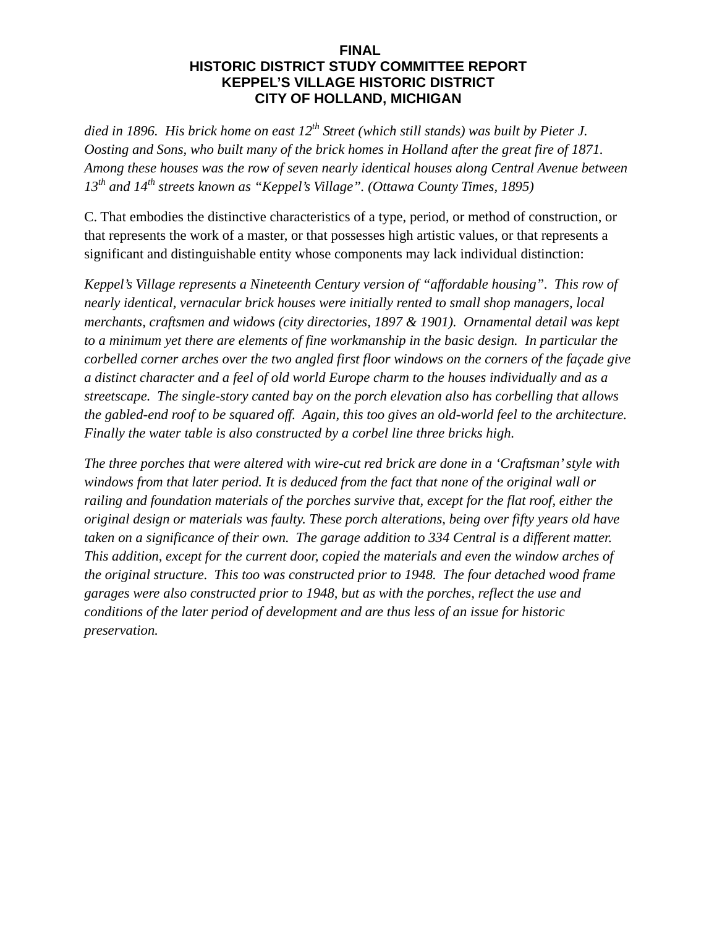died in 1896. His brick home on east 12<sup>th</sup> Street (which still stands) was built by Pieter J. *Oosting and Sons, who built many of the brick homes in Holland after the great fire of 1871. Among these houses was the row of seven nearly identical houses along Central Avenue between 13th and 14th streets known as "Keppel's Village". (Ottawa County Times, 1895)* 

C. That embodies the distinctive characteristics of a type, period, or method of construction, or that represents the work of a master, or that possesses high artistic values, or that represents a significant and distinguishable entity whose components may lack individual distinction:

*Keppel's Village represents a Nineteenth Century version of "affordable housing". This row of nearly identical, vernacular brick houses were initially rented to small shop managers, local merchants, craftsmen and widows (city directories, 1897 & 1901). Ornamental detail was kept to a minimum yet there are elements of fine workmanship in the basic design. In particular the corbelled corner arches over the two angled first floor windows on the corners of the façade give a distinct character and a feel of old world Europe charm to the houses individually and as a streetscape. The single-story canted bay on the porch elevation also has corbelling that allows the gabled-end roof to be squared off. Again, this too gives an old-world feel to the architecture. Finally the water table is also constructed by a corbel line three bricks high.* 

*The three porches that were altered with wire-cut red brick are done in a 'Craftsman' style with windows from that later period. It is deduced from the fact that none of the original wall or railing and foundation materials of the porches survive that, except for the flat roof, either the original design or materials was faulty. These porch alterations, being over fifty years old have taken on a significance of their own. The garage addition to 334 Central is a different matter. This addition, except for the current door, copied the materials and even the window arches of the original structure. This too was constructed prior to 1948. The four detached wood frame garages were also constructed prior to 1948, but as with the porches, reflect the use and conditions of the later period of development and are thus less of an issue for historic preservation.*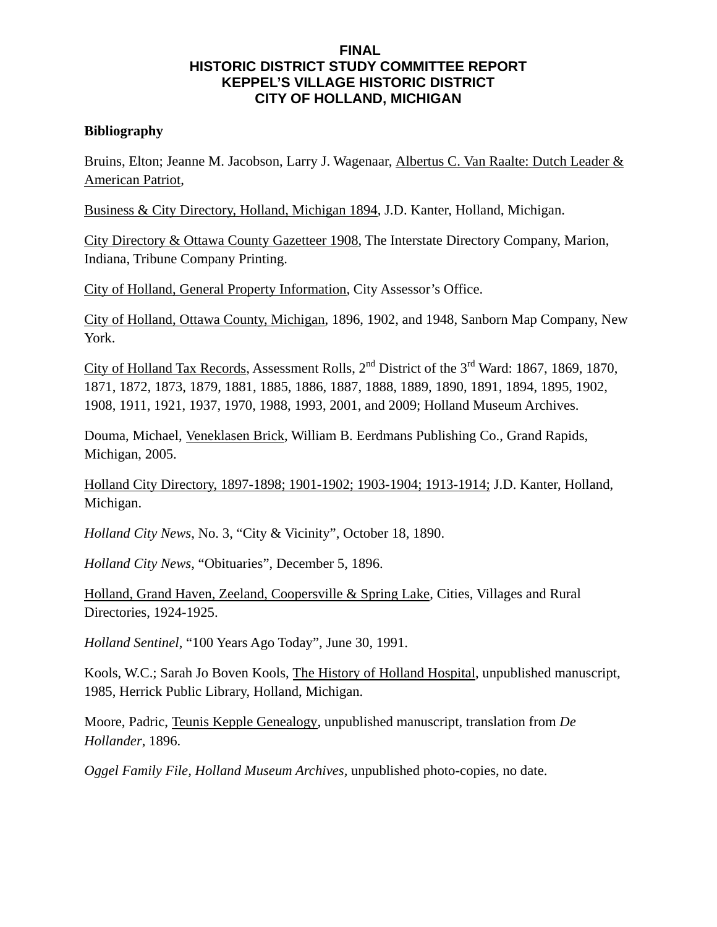## **Bibliography**

Bruins, Elton; Jeanne M. Jacobson, Larry J. Wagenaar, Albertus C. Van Raalte: Dutch Leader & American Patriot,

Business & City Directory, Holland, Michigan 1894, J.D. Kanter, Holland, Michigan.

City Directory & Ottawa County Gazetteer 1908, The Interstate Directory Company, Marion, Indiana, Tribune Company Printing.

City of Holland, General Property Information, City Assessor's Office.

City of Holland, Ottawa County, Michigan, 1896, 1902, and 1948, Sanborn Map Company, New York.

City of Holland Tax Records, Assessment Rolls,  $2<sup>nd</sup>$  District of the  $3<sup>rd</sup>$  Ward: 1867, 1869, 1870, 1871, 1872, 1873, 1879, 1881, 1885, 1886, 1887, 1888, 1889, 1890, 1891, 1894, 1895, 1902, 1908, 1911, 1921, 1937, 1970, 1988, 1993, 2001, and 2009; Holland Museum Archives.

Douma, Michael, Veneklasen Brick, William B. Eerdmans Publishing Co., Grand Rapids, Michigan, 2005.

Holland City Directory, 1897-1898; 1901-1902; 1903-1904; 1913-1914; J.D. Kanter, Holland, Michigan.

*Holland City News*, No. 3, "City & Vicinity", October 18, 1890.

*Holland City News*, "Obituaries", December 5, 1896.

Holland, Grand Haven, Zeeland, Coopersville & Spring Lake, Cities, Villages and Rural Directories, 1924-1925.

*Holland Sentinel*, "100 Years Ago Today", June 30, 1991.

Kools, W.C.; Sarah Jo Boven Kools, The History of Holland Hospital, unpublished manuscript, 1985, Herrick Public Library, Holland, Michigan.

Moore, Padric, Teunis Kepple Genealogy, unpublished manuscript, translation from *De Hollander*, 1896.

*Oggel Family File, Holland Museum Archives,* unpublished photo-copies, no date.